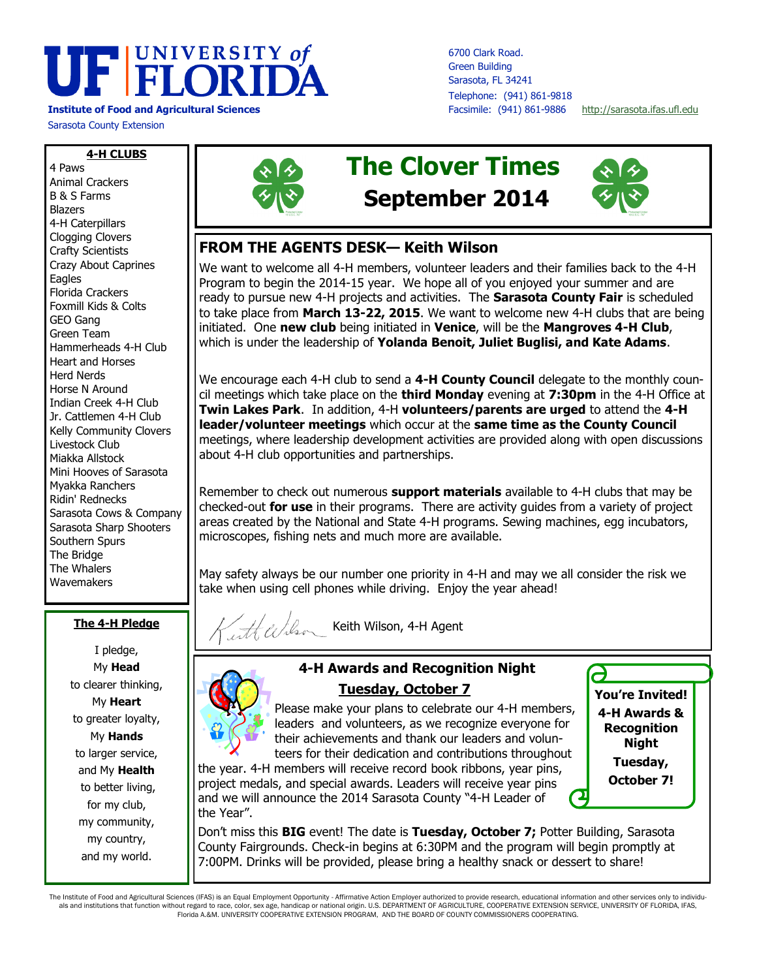# UF FLORIDA

**Institute of Food and Agricultural Sciences** Facsimile: (941) 861-9886 <http://sarasota.ifas.ufl.edu>

Sarasota County Extension

**4-H CLUBS** 4 Paws Animal Crackers B & S Farms Blazers 4-H Caterpillars Clogging Clovers Crafty Scientists Crazy About Caprines **Eagles** Florida Crackers Foxmill Kids & Colts GEO Gang Green Team Hammerheads 4-H Club Heart and Horses Herd Nerds Horse N Around Indian Creek 4-H Club Jr. Cattlemen 4-H Club Kelly Community Clovers Livestock Club Miakka Allstock Mini Hooves of Sarasota Myakka Ranchers Ridin' Rednecks Sarasota Cows & Company Sarasota Sharp Shooters Southern Spurs The Bridge The Whalers Wavemakers

#### **The 4-H Pledge**

I pledge, My **Head** to clearer thinking, My **Heart** to greater loyalty, My **Hands**  to larger service, and My **Health** to better living, for my club, my community, my country, and my world.



## **The Clover Times September 2014**

6700 Clark Road. Green Building Sarasota, FL 34241 Telephone: (941) 861-9818



**You're Invited! 4-H Awards & Recognition Night Tuesday, October 7!**

ð

## **FROM THE AGENTS DESK— Keith Wilson**

We want to welcome all 4-H members, volunteer leaders and their families back to the 4-H Program to begin the 2014-15 year. We hope all of you enjoyed your summer and are ready to pursue new 4-H projects and activities. The **Sarasota County Fair** is scheduled to take place from **March 13-22, 2015**. We want to welcome new 4-H clubs that are being initiated. One **new club** being initiated in **Venice**, will be the **Mangroves 4-H Club**, which is under the leadership of **Yolanda Benoit, Juliet Buglisi, and Kate Adams**.

We encourage each 4-H club to send a **4-H County Council** delegate to the monthly council meetings which take place on the **third Monday** evening at **7:30pm** in the 4-H Office at **Twin Lakes Park**. In addition, 4-H **volunteers/parents are urged** to attend the **4-H leader/volunteer meetings** which occur at the **same time as the County Council** meetings, where leadership development activities are provided along with open discussions about 4-H club opportunities and partnerships.

Remember to check out numerous **support materials** available to 4-H clubs that may be checked-out **for use** in their programs. There are activity guides from a variety of project areas created by the National and State 4-H programs. Sewing machines, egg incubators, microscopes, fishing nets and much more are available.

May safety always be our number one priority in 4-H and may we all consider the risk we take when using cell phones while driving. Enjoy the year ahead!



 $\mathcal{H}\ell\mathcal{M}$  Keith Wilson, 4-H Agent

## **4-H Awards and Recognition Night**



the year. 4-H members will receive record book ribbons, year pins, project medals, and special awards. Leaders will receive year pins and we will announce the 2014 Sarasota County "4-H Leader of the Year".

Don't miss this **BIG** event! The date is **Tuesday, October 7;** Potter Building, Sarasota County Fairgrounds. Check-in begins at 6:30PM and the program will begin promptly at 7:00PM. Drinks will be provided, please bring a healthy snack or dessert to share!

The Institute of Food and Agricultural Sciences (IFAS) is an Equal Employment Opportunity - Affirmative Action Employer authorized to provide research, educational information and other services only to individuals and institutions that function without regard to race, color, sex age, handicap or national origin. U.S. DEPARTMENT OF AGRICULTURE, COOPERATIVE EXTENSION SERVICE, UNIVERSITY OF FLORIDA, IFAS, Florida A.&M. UNIVERSITY COOPERATIVE EXTENSION PROGRAM, AND THE BOARD OF COUNTY COMMISSIONERS COOPERATING.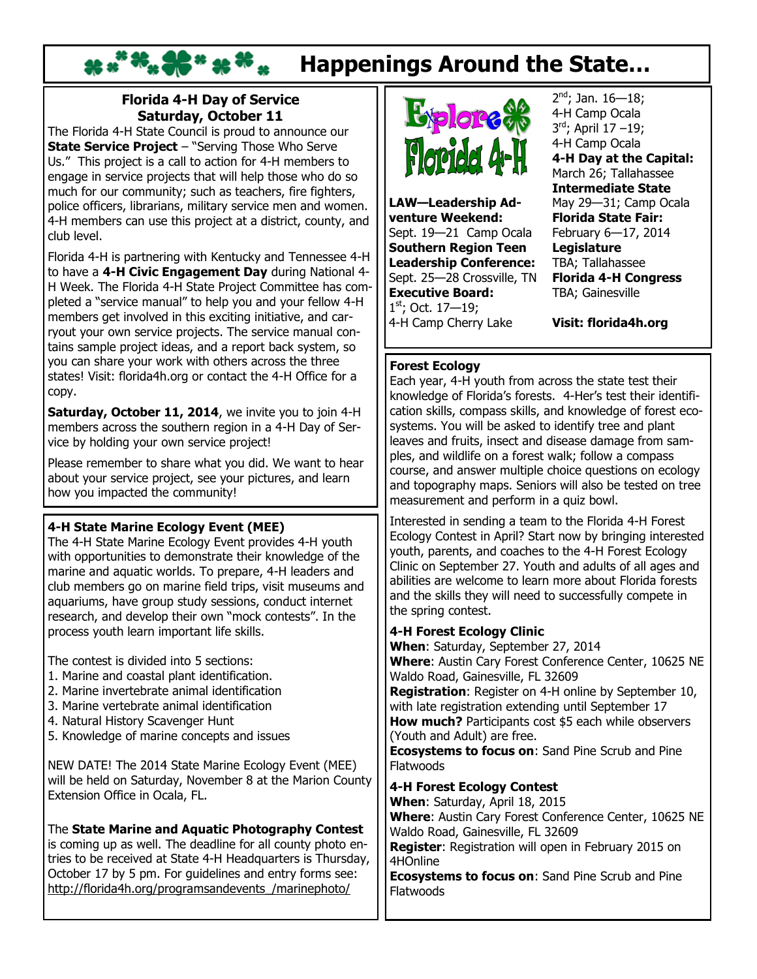## **Happenings Around the State…**

## **Florida 4-H Day of Service Saturday, October 11**

The Florida 4-H State Council is proud to announce our **State Service Project** – "Serving Those Who Serve Us." This project is a call to action for 4-H members to engage in service projects that will help those who do so much for our community; such as teachers, fire fighters, police officers, librarians, military service men and women. 4-H members can use this project at a district, county, and club level.

Florida 4-H is partnering with Kentucky and Tennessee 4-H to have a **4-H Civic Engagement Day** during National 4- H Week. The Florida 4-H State Project Committee has completed a "service manual" to help you and your fellow 4-H members get involved in this exciting initiative, and carryout your own service projects. The service manual contains sample project ideas, and a report back system, so you can share your work with others across the three states! Visit: florida4h.org or contact the 4-H Office for a copy.

**Saturday, October 11, 2014**, we invite you to join 4-H members across the southern region in a 4-H Day of Service by holding your own service project!

Please remember to share what you did. We want to hear about your service project, see your pictures, and learn how you impacted the community!

## **4-H State Marine Ecology Event (MEE)**

The 4-H State Marine Ecology Event provides 4-H youth with opportunities to demonstrate their knowledge of the marine and aquatic worlds. To prepare, 4-H leaders and club members go on marine field trips, visit museums and aquariums, have group study sessions, conduct internet research, and develop their own "mock contests". In the process youth learn important life skills.

The contest is divided into 5 sections:

- 1. Marine and coastal plant identification.
- 2. Marine invertebrate animal identification
- 3. Marine vertebrate animal identification
- 4. Natural History Scavenger Hunt
- 5. Knowledge of marine concepts and issues

NEW DATE! The 2014 State Marine Ecology Event (MEE) will be held on Saturday, November 8 at the Marion County Extension Office in Ocala, FL.

The **State Marine and Aquatic Photography Contest** is coming up as well. The deadline for all county photo entries to be received at State 4-H Headquarters is Thursday, October 17 by 5 pm. For guidelines and entry forms see: [http://florida4h.org/programsandevents\\_/marinephoto/](http://florida4h.org/programsandevents_/marinephoto/)



**LAW—Leadership Adventure Weekend:** Sept. 19—21 Camp Ocala **Southern Region Teen Leadership Conference:** Sept. 25—28 Crossville, TN **Executive Board:**  $1<sup>st</sup>$ ; Oct. 17–19; 4-H Camp Cherry Lake

2<sup>nd</sup>; Jan. 16—18; 4-H Camp Ocala 3 rd; April 17 –19; 4-H Camp Ocala **4-H Day at the Capital:**  March 26; Tallahassee **Intermediate State** May 29—31; Camp Ocala **Florida State Fair:** February 6—17, 2014 **Legislature** TBA; Tallahassee **Florida 4-H Congress** TBA; Gainesville

**Visit: florida4h.org** 

## **Forest Ecology**

Each year, 4-H youth from across the state test their knowledge of Florida's forests. 4-Her's test their identification skills, compass skills, and knowledge of forest ecosystems. You will be asked to identify tree and plant leaves and fruits, insect and disease damage from samples, and wildlife on a forest walk; follow a compass course, and answer multiple choice questions on ecology and topography maps. Seniors will also be tested on tree measurement and perform in a quiz bowl.

Interested in sending a team to the Florida 4-H Forest Ecology Contest in April? Start now by bringing interested youth, parents, and coaches to the 4-H Forest Ecology Clinic on September 27. Youth and adults of all ages and abilities are welcome to learn more about Florida forests and the skills they will need to successfully compete in the spring contest.

### **4-H Forest Ecology Clinic**

**When**: Saturday, September 27, 2014 **Where**: [Austin Cary Forest Conference Center,](http://sfrc.ufl.edu/forestcampus/directions/) 10625 NE Waldo Road, Gainesville, FL 32609

**Registration**: Register on 4-H online by September 10, with late registration extending until September 17 **How much?** Participants cost \$5 each while observers (Youth and Adult) are free.

**Ecosystems to focus on**: [Sand Pine Scrub](http://sfrc.ufl.edu/extension/4h/ecosystems/sand_pine_scrub/index.html) and [Pine](http://sfrc.ufl.edu/extension/4h/ecosystems/pine_flatwoods/index.html)  [Flatwoods](http://sfrc.ufl.edu/extension/4h/ecosystems/pine_flatwoods/index.html)

### **4-H Forest Ecology Contest**

**When**: Saturday, April 18, 2015 **Where**: [Austin Cary Forest Conference Center,](http://sfrc.ufl.edu/forestcampus/directions/) 10625 NE Waldo Road, Gainesville, FL 32609

**Register**: Registration will open in February 2015 on 4HOnline

**Ecosystems to focus on**: [Sand Pine Scrub](http://sfrc.ufl.edu/extension/4h/ecosystems/sand_pine_scrub/index.html) and [Pine](http://sfrc.ufl.edu/extension/4h/ecosystems/pine_flatwoods/index.html)  **[Flatwoods](http://sfrc.ufl.edu/extension/4h/ecosystems/pine_flatwoods/index.html)**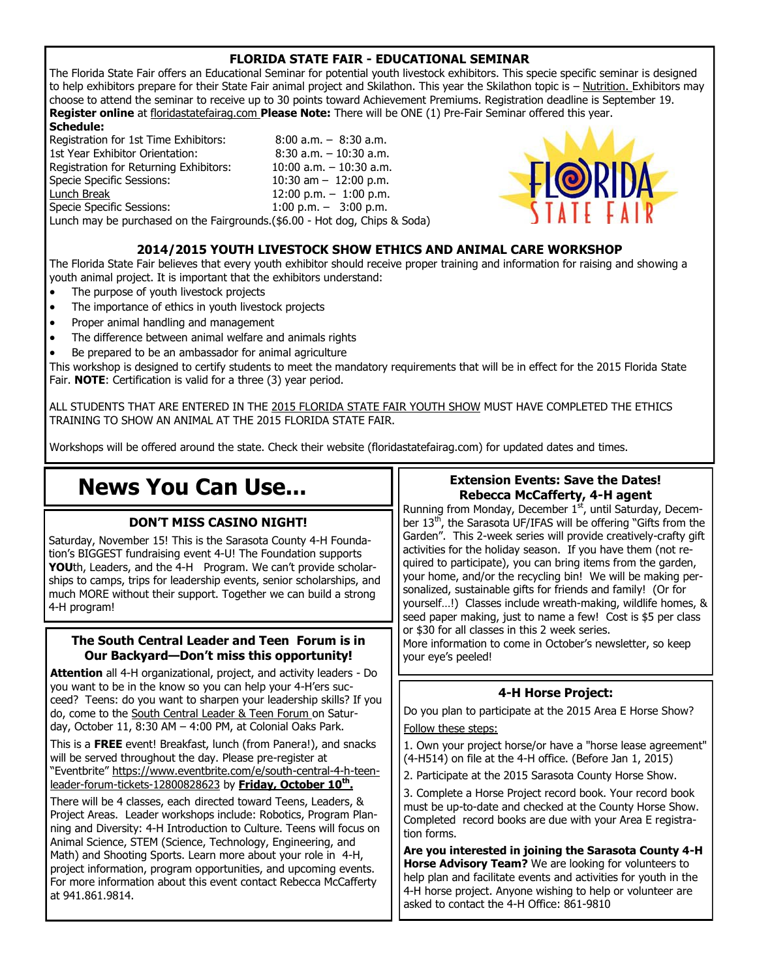## **FLORIDA STATE FAIR - EDUCATIONAL SEMINAR**

The Florida State Fair offers an Educational Seminar for potential youth livestock exhibitors. This specie specific seminar is designed to help exhibitors prepare for their State Fair animal project and Skilathon. This year the Skilathon topic is – Nutrition. Exhibitors may choose to attend the seminar to receive up to 30 points toward Achievement Premiums. Registration deadline is September 19. **Register online** at floridastatefairag.com **Please Note:** There will be ONE (1) Pre-Fair Seminar offered this year.

#### **Schedule:**

Registration for 1st Time Exhibitors: 8:00 a.m. – 8:30 a.m. 1st Year Exhibitor Orientation: 8:30 a.m. – 10:30 a.m. Registration for Returning Exhibitors: 10:00 a.m. – 10:30 a.m. Specie Specific Sessions: 10:30 am – 12:00 p.m. Lunch Break 12:00 p.m. – 1:00 p.m. Specie Specific Sessions: Lunch may be purchased on the Fairgrounds.(\$6.00 - Hot dog, Chips & Soda)



#### **2014/2015 YOUTH LIVESTOCK SHOW ETHICS AND ANIMAL CARE WORKSHOP**

The Florida State Fair believes that every youth exhibitor should receive proper training and information for raising and showing a youth animal project. It is important that the exhibitors understand:

- The purpose of youth livestock projects
- The importance of ethics in youth livestock projects
- Proper animal handling and management
- The difference between animal welfare and animals rights
- Be prepared to be an ambassador for animal agriculture

This workshop is designed to certify students to meet the mandatory requirements that will be in effect for the 2015 Florida State Fair. **NOTE**: Certification is valid for a three (3) year period.

ALL STUDENTS THAT ARE ENTERED IN THE 2015 FLORIDA STATE FAIR YOUTH SHOW MUST HAVE COMPLETED THE ETHICS TRAINING TO SHOW AN ANIMAL AT THE 2015 FLORIDA STATE FAIR.

Workshops will be offered around the state. Check their website (floridastatefairag.com) for updated dates and times.

## **News You Can Use...**

#### **DON'T MISS CASINO NIGHT!**

Saturday, November 15! This is the Sarasota County 4-H Foundation's BIGGEST fundraising event 4-U! The Foundation supports **YOU**th, Leaders, and the 4-H Program. We can't provide scholarships to camps, trips for leadership events, senior scholarships, and much MORE without their support. Together we can build a strong 4-H program!

#### **The South Central Leader and Teen Forum is in Our Backyard—Don't miss this opportunity!**

**Attention** all 4-H organizational, project, and activity leaders - Do you want to be in the know so you can help your 4-H'ers succeed? Teens: do you want to sharpen your leadership skills? If you do, come to the South Central Leader & Teen Forum on Saturday, October 11, 8:30 AM – 4:00 PM, at Colonial Oaks Park.

This is a **FREE** event! Breakfast, lunch (from Panera!), and snacks will be served throughout the day. Please pre-register at "Eventbrite" [https://www.eventbrite.com/e/south-central-4-h-teen](https://www.eventbrite.com/e/south-central-4-h-teen-leader-forum-tickets-12800828623)[leader-forum-tickets-12800828623](https://www.eventbrite.com/e/south-central-4-h-teen-leader-forum-tickets-12800828623) by **Friday, October 10th .**

There will be 4 classes, each directed toward Teens, Leaders, & Project Areas. Leader workshops include: Robotics, Program Planning and Diversity: 4-H Introduction to Culture. Teens will focus on Animal Science, STEM (Science, Technology, Engineering, and Math) and Shooting Sports. Learn more about your role in 4-H, project information, program opportunities, and upcoming events. For more information about this event contact Rebecca McCafferty at 941.861.9814.

### **Extension Events: Save the Dates! Rebecca McCafferty, 4-H agent**

Running from Monday, December 1<sup>st</sup>, until Saturday, December 13<sup>th</sup>, the Sarasota UF/IFAS will be offering "Gifts from the Garden". This 2-week series will provide creatively-crafty gift activities for the holiday season. If you have them (not required to participate), you can bring items from the garden, your home, and/or the recycling bin! We will be making personalized, sustainable gifts for friends and family! (Or for yourself…!) Classes include wreath-making, wildlife homes, & seed paper making, just to name a few! Cost is \$5 per class or \$30 for all classes in this 2 week series. More information to come in October's newsletter, so keep your eye's peeled!

## **4-H Horse Project:**

Do you plan to participate at the 2015 Area E Horse Show? Follow these steps:

1. Own your project horse/or have a "horse lease agreement" (4-H514) on file at the 4-H office. (Before Jan 1, 2015)

2. Participate at the 2015 Sarasota County Horse Show.

3. Complete a Horse Project record book. Your record book must be up-to-date and checked at the County Horse Show. Completed record books are due with your Area E registration forms.

**Are you interested in joining the Sarasota County 4-H Horse Advisory Team?** We are looking for volunteers to help plan and facilitate events and activities for youth in the 4-H horse project. Anyone wishing to help or volunteer are asked to contact the 4-H Office: 861-9810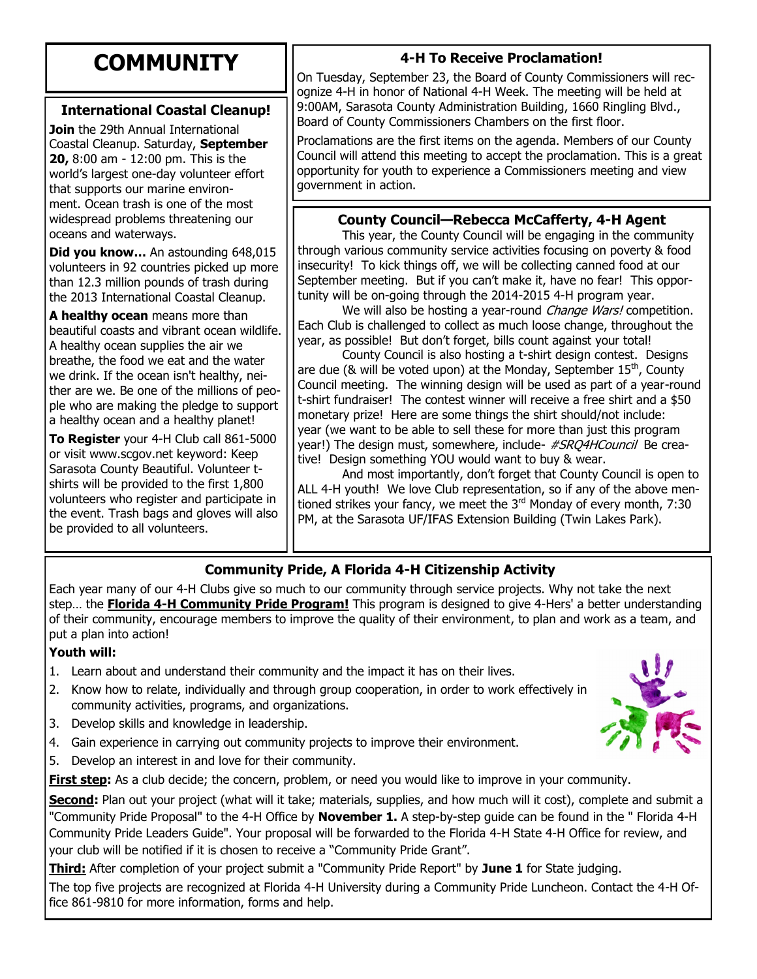## **COMMUNITY**

## **International Coastal Cleanup!**

**Join** the 29th Annual International Coastal Cleanup. Saturday, **September 20,** 8:00 am - 12:00 pm. This is the world's largest one-day volunteer effort that supports our marine environment. Ocean trash is one of the most widespread problems threatening our oceans and waterways.

**Did you know…** An astounding 648,015 volunteers in 92 countries picked up more than 12.3 million pounds of trash during the 2013 International Coastal Cleanup.

**A healthy ocean** means more than beautiful coasts and vibrant ocean wildlife. A healthy ocean supplies the air we breathe, the food we eat and the water we drink. If the ocean isn't healthy, neither are we. Be one of the millions of people who are making the pledge to support a healthy ocean and a healthy planet!

**To Register** your 4-H Club call 861-5000 or visit www.scgov.net keyword: Keep Sarasota County Beautiful. Volunteer tshirts will be provided to the first 1,800 volunteers who register and participate in the event. Trash bags and gloves will also be provided to all volunteers.

## **4-H To Receive Proclamation!**

On Tuesday, September 23, the Board of County Commissioners will recognize 4-H in honor of National 4-H Week. The meeting will be held at 9:00AM, Sarasota County Administration Building, 1660 Ringling Blvd., Board of County Commissioners Chambers on the first floor.

Proclamations are the first items on the agenda. Members of our County Council will attend this meeting to accept the proclamation. This is a great opportunity for youth to experience a Commissioners meeting and view government in action.

## **County Council—Rebecca McCafferty, 4-H Agent**

This year, the County Council will be engaging in the community through various community service activities focusing on poverty & food insecurity! To kick things off, we will be collecting canned food at our September meeting. But if you can't make it, have no fear! This opportunity will be on-going through the 2014-2015 4-H program year.

We will also be hosting a year-round *Change Wars!* competition. Each Club is challenged to collect as much loose change, throughout the year, as possible! But don't forget, bills count against your total!

County Council is also hosting a t-shirt design contest. Designs are due ( $\&$  will be voted upon) at the Monday, September  $15<sup>th</sup>$ , County Council meeting. The winning design will be used as part of a year-round t-shirt fundraiser! The contest winner will receive a free shirt and a \$50 monetary prize! Here are some things the shirt should/not include: year (we want to be able to sell these for more than just this program year!) The design must, somewhere, include- *#SRO4HCouncil* Be creative! Design something YOU would want to buy & wear.

And most importantly, don't forget that County Council is open to ALL 4-H youth! We love Club representation, so if any of the above mentioned strikes your fancy, we meet the  $3<sup>rd</sup>$  Monday of every month, 7:30 PM, at the Sarasota UF/IFAS Extension Building (Twin Lakes Park).

## **Community Pride, A Florida 4-H Citizenship Activity**

Each year many of our 4-H Clubs give so much to our community through service projects. Why not take the next step… the **Florida 4-H Community Pride Program!** This program is designed to give 4-Hers' a better understanding of their community, encourage members to improve the quality of their environment, to plan and work as a team, and put a plan into action!

## **Youth will:**

- 1. Learn about and understand their community and the impact it has on their lives.
- 2. Know how to relate, individually and through group cooperation, in order to work effectively in community activities, programs, and organizations.
- 3. Develop skills and knowledge in leadership.
- 4. Gain experience in carrying out community projects to improve their environment.
- 5. Develop an interest in and love for their community.

**First step:** As a club decide; the concern, problem, or need you would like to improve in your community.

**Second:** Plan out your project (what will it take; materials, supplies, and how much will it cost), complete and submit a "Community Pride Proposal" to the 4-H Office by **November 1.** A step-by-step guide can be found in the " Florida 4-H Community Pride Leaders Guide". Your proposal will be forwarded to the Florida 4-H State 4-H Office for review, and your club will be notified if it is chosen to receive a "Community Pride Grant".

**Third:** After completion of your project submit a "Community Pride Report" by **June 1** for State judging.

The top five projects are recognized at Florida 4-H University during a Community Pride Luncheon. Contact the 4-H Office 861-9810 for more information, forms and help.

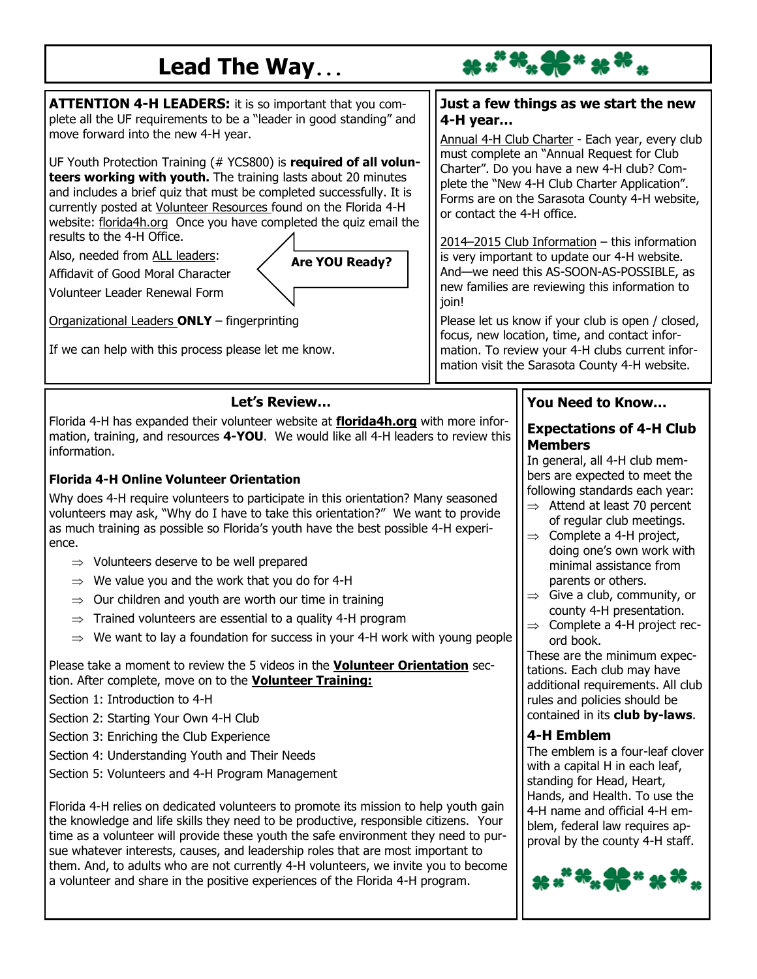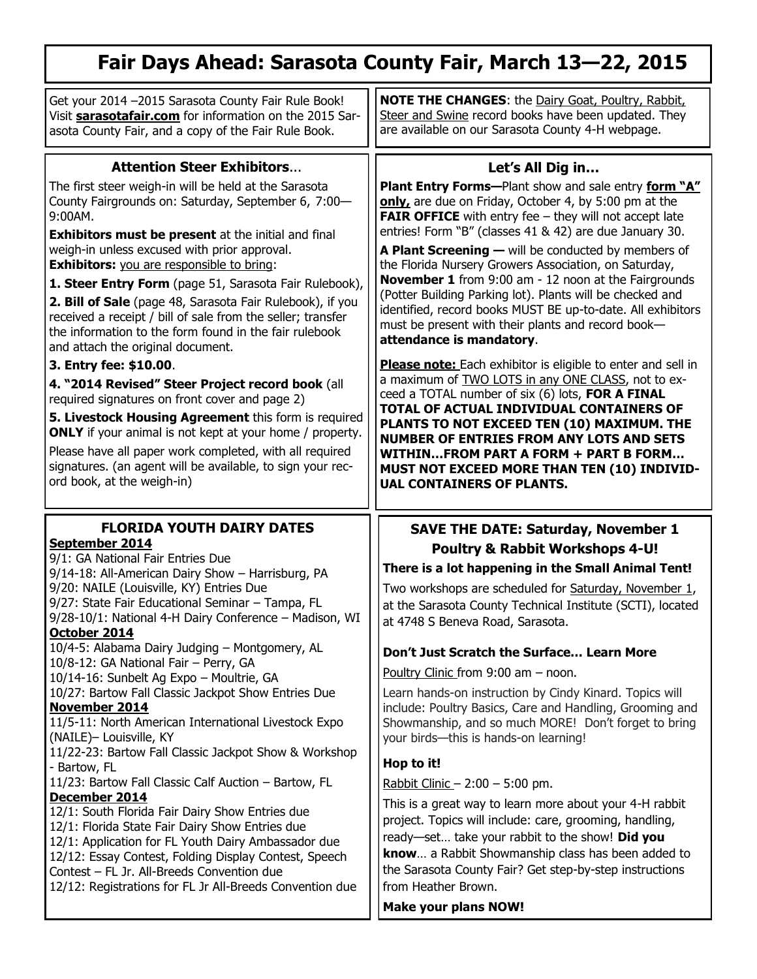## **Fair Days Ahead: Sarasota County Fair, March 13—22, 2015**

| Get your 2014 -2015 Sarasota County Fair Rule Book!<br>Visit <b>sarasotafair.com</b> for information on the 2015 Sar-<br>asota County Fair, and a copy of the Fair Rule Book.                                                                                                                                                                                                                                                                                                                                                                                                                                                                                                                                                                                                                                                                                                                                                                                                                       | <b>NOTE THE CHANGES:</b> the Dairy Goat, Poultry, Rabbit,<br>Steer and Swine record books have been updated. They<br>are available on our Sarasota County 4-H webpage.                                                                                                                                                                                                                                                                                                                                                                                                                                                                                                                                                                                                                                                                                                                                                                                                                                                                                                                                                                |
|-----------------------------------------------------------------------------------------------------------------------------------------------------------------------------------------------------------------------------------------------------------------------------------------------------------------------------------------------------------------------------------------------------------------------------------------------------------------------------------------------------------------------------------------------------------------------------------------------------------------------------------------------------------------------------------------------------------------------------------------------------------------------------------------------------------------------------------------------------------------------------------------------------------------------------------------------------------------------------------------------------|---------------------------------------------------------------------------------------------------------------------------------------------------------------------------------------------------------------------------------------------------------------------------------------------------------------------------------------------------------------------------------------------------------------------------------------------------------------------------------------------------------------------------------------------------------------------------------------------------------------------------------------------------------------------------------------------------------------------------------------------------------------------------------------------------------------------------------------------------------------------------------------------------------------------------------------------------------------------------------------------------------------------------------------------------------------------------------------------------------------------------------------|
| <b>Attention Steer Exhibitors</b>                                                                                                                                                                                                                                                                                                                                                                                                                                                                                                                                                                                                                                                                                                                                                                                                                                                                                                                                                                   | Let's All Dig in                                                                                                                                                                                                                                                                                                                                                                                                                                                                                                                                                                                                                                                                                                                                                                                                                                                                                                                                                                                                                                                                                                                      |
| The first steer weigh-in will be held at the Sarasota<br>County Fairgrounds on: Saturday, September 6, 7:00-<br>$9:00AM$ .<br><b>Exhibitors must be present</b> at the initial and final<br>weigh-in unless excused with prior approval.<br><b>Exhibitors:</b> you are responsible to bring:<br>1. Steer Entry Form (page 51, Sarasota Fair Rulebook),<br>2. Bill of Sale (page 48, Sarasota Fair Rulebook), if you<br>received a receipt / bill of sale from the seller; transfer<br>the information to the form found in the fair rulebook<br>and attach the original document.<br>3. Entry fee: \$10.00.<br>4. "2014 Revised" Steer Project record book (all<br>required signatures on front cover and page 2)<br>5. Livestock Housing Agreement this form is required<br><b>ONLY</b> if your animal is not kept at your home / property.<br>Please have all paper work completed, with all required<br>signatures. (an agent will be available, to sign your rec-<br>ord book, at the weigh-in) | <b>Plant Entry Forms--</b> Plant show and sale entry <b>form "A"</b><br>only, are due on Friday, October 4, by 5:00 pm at the<br><b>FAIR OFFICE</b> with entry fee $-$ they will not accept late<br>entries! Form "B" (classes 41 & 42) are due January 30.<br><b>A Plant Screening <math>-</math></b> will be conducted by members of<br>the Florida Nursery Growers Association, on Saturday,<br><b>November 1</b> from 9:00 am - 12 noon at the Fairgrounds<br>(Potter Building Parking lot). Plants will be checked and<br>identified, record books MUST BE up-to-date. All exhibitors<br>must be present with their plants and record book-<br>attendance is mandatory.<br><b>Please note:</b> Each exhibitor is eligible to enter and sell in<br>a maximum of TWO LOTS in any ONE CLASS, not to ex-<br>ceed a TOTAL number of six (6) lots, FOR A FINAL<br>TOTAL OF ACTUAL INDIVIDUAL CONTAINERS OF<br>PLANTS TO NOT EXCEED TEN (10) MAXIMUM. THE<br><b>NUMBER OF ENTRIES FROM ANY LOTS AND SETS</b><br>WITHINFROM PART A FORM + PART B FORM<br>MUST NOT EXCEED MORE THAN TEN (10) INDIVID-<br><b>UAL CONTAINERS OF PLANTS.</b> |
| <b>FLORIDA YOUTH DAIRY DATES</b>                                                                                                                                                                                                                                                                                                                                                                                                                                                                                                                                                                                                                                                                                                                                                                                                                                                                                                                                                                    | <b>SAVE THE DATE: Saturday, November 1</b>                                                                                                                                                                                                                                                                                                                                                                                                                                                                                                                                                                                                                                                                                                                                                                                                                                                                                                                                                                                                                                                                                            |
| September 2014                                                                                                                                                                                                                                                                                                                                                                                                                                                                                                                                                                                                                                                                                                                                                                                                                                                                                                                                                                                      | <b>Poultry &amp; Rabbit Workshops 4-U!</b>                                                                                                                                                                                                                                                                                                                                                                                                                                                                                                                                                                                                                                                                                                                                                                                                                                                                                                                                                                                                                                                                                            |
| 9/1: GA National Fair Entries Due<br>9/14-18: All-American Dairy Show - Harrisburg, PA                                                                                                                                                                                                                                                                                                                                                                                                                                                                                                                                                                                                                                                                                                                                                                                                                                                                                                              | There is a lot happening in the Small Animal Tent!                                                                                                                                                                                                                                                                                                                                                                                                                                                                                                                                                                                                                                                                                                                                                                                                                                                                                                                                                                                                                                                                                    |
| 9/20: NAILE (Louisville, KY) Entries Due<br>9/27: State Fair Educational Seminar - Tampa, FL<br>9/28-10/1: National 4-H Dairy Conference - Madison, WI<br>October 2014                                                                                                                                                                                                                                                                                                                                                                                                                                                                                                                                                                                                                                                                                                                                                                                                                              | Two workshops are scheduled for Saturday, November 1,<br>at the Sarasota County Technical Institute (SCTI), located<br>at 4748 S Beneva Road, Sarasota.                                                                                                                                                                                                                                                                                                                                                                                                                                                                                                                                                                                                                                                                                                                                                                                                                                                                                                                                                                               |
| 10/4-5: Alabama Dairy Judging - Montgomery, AL                                                                                                                                                                                                                                                                                                                                                                                                                                                                                                                                                                                                                                                                                                                                                                                                                                                                                                                                                      | Don't Just Scratch the Surface Learn More                                                                                                                                                                                                                                                                                                                                                                                                                                                                                                                                                                                                                                                                                                                                                                                                                                                                                                                                                                                                                                                                                             |
| 10/8-12: GA National Fair - Perry, GA<br>10/14-16: Sunbelt Ag Expo - Moultrie, GA                                                                                                                                                                                                                                                                                                                                                                                                                                                                                                                                                                                                                                                                                                                                                                                                                                                                                                                   | Poultry Clinic from $9:00$ am $-$ noon.                                                                                                                                                                                                                                                                                                                                                                                                                                                                                                                                                                                                                                                                                                                                                                                                                                                                                                                                                                                                                                                                                               |
|                                                                                                                                                                                                                                                                                                                                                                                                                                                                                                                                                                                                                                                                                                                                                                                                                                                                                                                                                                                                     |                                                                                                                                                                                                                                                                                                                                                                                                                                                                                                                                                                                                                                                                                                                                                                                                                                                                                                                                                                                                                                                                                                                                       |
| 10/27: Bartow Fall Classic Jackpot Show Entries Due<br>November 2014<br>11/5-11: North American International Livestock Expo<br>(NAILE)- Louisville, KY                                                                                                                                                                                                                                                                                                                                                                                                                                                                                                                                                                                                                                                                                                                                                                                                                                             | Learn hands-on instruction by Cindy Kinard. Topics will<br>include: Poultry Basics, Care and Handling, Grooming and<br>Showmanship, and so much MORE! Don't forget to bring<br>your birds-this is hands-on learning!                                                                                                                                                                                                                                                                                                                                                                                                                                                                                                                                                                                                                                                                                                                                                                                                                                                                                                                  |
| 11/22-23: Bartow Fall Classic Jackpot Show & Workshop                                                                                                                                                                                                                                                                                                                                                                                                                                                                                                                                                                                                                                                                                                                                                                                                                                                                                                                                               | Hop to it!                                                                                                                                                                                                                                                                                                                                                                                                                                                                                                                                                                                                                                                                                                                                                                                                                                                                                                                                                                                                                                                                                                                            |
| - Bartow, FL<br>11/23: Bartow Fall Classic Calf Auction - Bartow, FL                                                                                                                                                                                                                                                                                                                                                                                                                                                                                                                                                                                                                                                                                                                                                                                                                                                                                                                                | Rabbit Clinic $- 2:00 - 5:00$ pm.                                                                                                                                                                                                                                                                                                                                                                                                                                                                                                                                                                                                                                                                                                                                                                                                                                                                                                                                                                                                                                                                                                     |
| December 2014<br>12/1: South Florida Fair Dairy Show Entries due<br>12/1: Florida State Fair Dairy Show Entries due<br>12/1: Application for FL Youth Dairy Ambassador due<br>12/12: Essay Contest, Folding Display Contest, Speech<br>Contest - FL Jr. All-Breeds Convention due<br>12/12: Registrations for FL Jr All-Breeds Convention due                                                                                                                                                                                                                                                                                                                                                                                                                                                                                                                                                                                                                                                       | This is a great way to learn more about your 4-H rabbit<br>project. Topics will include: care, grooming, handling,<br>ready-set take your rabbit to the show! Did you<br>know a Rabbit Showmanship class has been added to<br>the Sarasota County Fair? Get step-by-step instructions<br>from Heather Brown.<br><b>Make your plans NOW!</b>                                                                                                                                                                                                                                                                                                                                                                                                                                                                                                                                                                                                                                                                                                                                                                                           |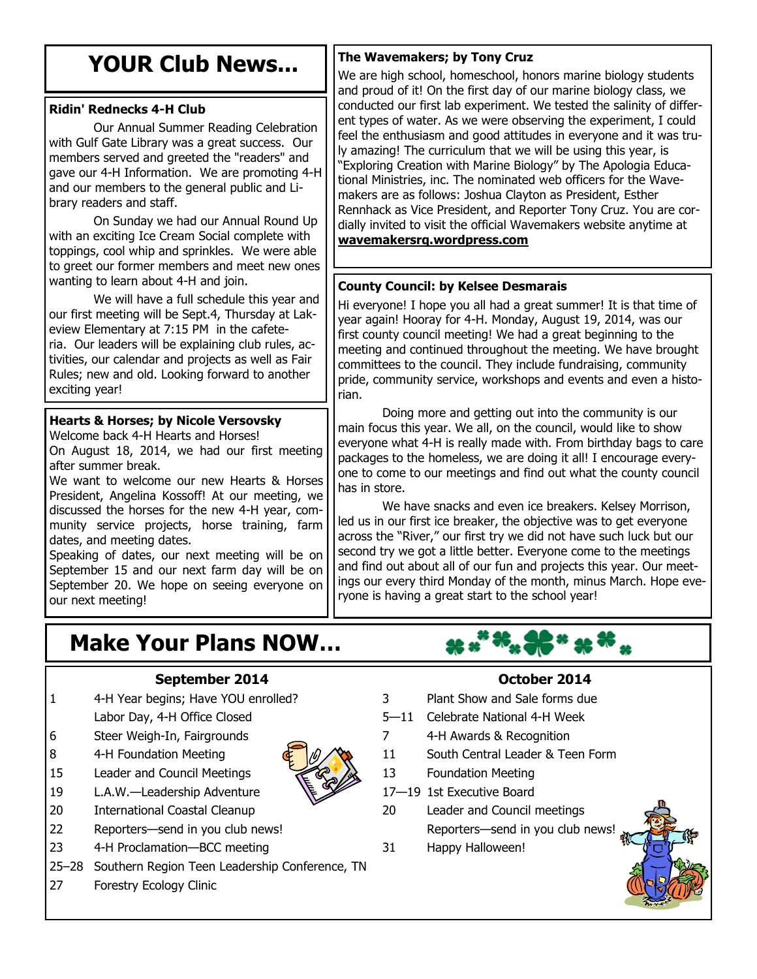## **YOUR Club News...**

## **Ridin' Rednecks 4-H Club**

Our Annual Summer Reading Celebration with Gulf Gate Library was a great success. Our members served and greeted the "readers" and gave our 4-H Information. We are promoting 4-H and our members to the general public and Library readers and staff.

On Sunday we had our Annual Round Up with an exciting Ice Cream Social complete with toppings, cool whip and sprinkles. We were able to greet our former members and meet new ones wanting to learn about 4-H and join.

We will have a full schedule this year and our first meeting will be Sept.4, Thursday at Lakeview Elementary at 7:15 PM in the cafeteria. Our leaders will be explaining club rules, activities, our calendar and projects as well as Fair Rules; new and old. Looking forward to another exciting year!

## **Hearts & Horses; by Nicole Versovsky**

Welcome back 4-H Hearts and Horses! On August 18, 2014, we had our first meeting after summer break.

We want to welcome our new Hearts & Horses President, Angelina Kossoff! At our meeting, we discussed the horses for the new 4-H year, community service projects, horse training, farm dates, and meeting dates.

Speaking of dates, our next meeting will be on September 15 and our next farm day will be on September 20. We hope on seeing everyone on our next meeting!

## **Make Your Plans NOW…**

## **September 2014**

- 1 4-H Year begins; Have YOU enrolled?
	- Labor Day, 4-H Office Closed
- 6 Steer Weigh-In, Fairgrounds
- 8 4-H Foundation Meeting
- 15 Leader and Council Meetings
- 19 L.A.W.—Leadership Adventure
- 20 International Coastal Cleanup
- 22 Reporters—send in you club news!
- 23 4-H Proclamation—BCC meeting
- 25–28 Southern Region Teen Leadership Conference, TN
- 27 Forestry Ecology Clinic

## **The Wavemakers; by Tony Cruz**

We are high school, homeschool, honors marine biology students and proud of it! On the first day of our marine biology class, we conducted our first lab experiment. We tested the salinity of different types of water. As we were observing the experiment, I could feel the enthusiasm and good attitudes in everyone and it was truly amazing! The curriculum that we will be using this year, is "Exploring Creation with Marine Biology" by The Apologia Educational Ministries, inc. The nominated web officers for the Wavemakers are as follows: Joshua Clayton as President, Esther Rennhack as Vice President, and Reporter Tony Cruz. You are cordially invited to visit the official Wavemakers website anytime at **[wavemakersrq.wordpress.com](http://wavemakersrq.wordpress.com)**

## **County Council: by Kelsee Desmarais**

Hi everyone! I hope you all had a great summer! It is that time of year again! Hooray for 4-H. Monday, August 19, 2014, was our first county council meeting! We had a great beginning to the meeting and continued throughout the meeting. We have brought committees to the council. They include fundraising, community pride, community service, workshops and events and even a historian.

Doing more and getting out into the community is our main focus this year. We all, on the council, would like to show everyone what 4-H is really made with. From birthday bags to care packages to the homeless, we are doing it all! I encourage everyone to come to our meetings and find out what the county council has in store.

We have snacks and even ice breakers. Kelsey Morrison, led us in our first ice breaker, the objective was to get everyone across the "River," our first try we did not have such luck but our second try we got a little better. Everyone come to the meetings and find out about all of our fun and projects this year. Our meetings our every third Monday of the month, minus March. Hope everyone is having a great start to the school year!

## **October 2014**

- 3 Plant Show and Sale forms due
- 5—11 Celebrate National 4-H Week
- 7 4-H Awards & Recognition
- 11 South Central Leader & Teen Form
- 13 Foundation Meeting
- 17—19 1st Executive Board
- 20 Leader and Council meetings Reporters—send in you club news!
- 31 Happy Halloween!